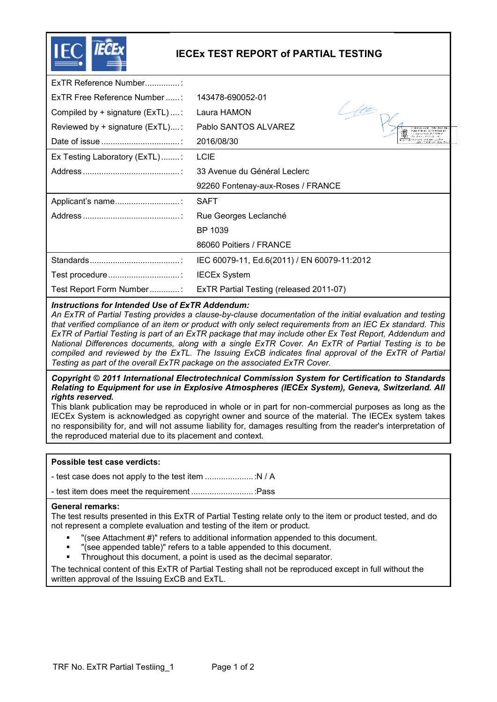

# **IECEx TEST REPORT of PARTIAL TESTING**

| ExTR Reference Number              |                                             |  |
|------------------------------------|---------------------------------------------|--|
| ExTR Free Reference Number         | 143478-690052-01                            |  |
| Compiled by $+$ signature (ExTL) : | Laura HAMON                                 |  |
| Reviewed by + signature (ExTL):    | Pablo SANTOS ALVAREZ                        |  |
|                                    | 2016/08/30                                  |  |
| Ex Testing Laboratory (ExTL)       | <b>LCIE</b>                                 |  |
|                                    | 33 Avenue du Général Leclerc                |  |
|                                    | 92260 Fontenay-aux-Roses / FRANCE           |  |
|                                    | <b>SAFT</b>                                 |  |
|                                    | Rue Georges Leclanché                       |  |
|                                    | BP 1039                                     |  |
|                                    | 86060 Poitiers / FRANCE                     |  |
|                                    | IEC 60079-11, Ed.6(2011) / EN 60079-11:2012 |  |
|                                    | <b>IECEx System</b>                         |  |
| Test Report Form Number:           | ExTR Partial Testing (released 2011-07)     |  |

## *Instructions for Intended Use of ExTR Addendum:*

*An ExTR of Partial Testing provides a clause-by-clause documentation of the initial evaluation and testing that verified compliance of an item or product with only select requirements from an IEC Ex standard. This ExTR of Partial Testing is part of an ExTR package that may include other Ex Test Report, Addendum and National Differences documents, along with a single ExTR Cover. An ExTR of Partial Testing is to be compiled and reviewed by the ExTL. The Issuing ExCB indicates final approval of the ExTR of Partial Testing as part of the overall ExTR package on the associated ExTR Cover.* 

*Copyright © 2011 International Electrotechnical Commission System for Certification to Standards Relating to Equipment for use in Explosive Atmospheres (IECEx System), Geneva, Switzerland. All rights reserved.* 

This blank publication may be reproduced in whole or in part for non-commercial purposes as long as the IECEx System is acknowledged as copyright owner and source of the material. The IECEx system takes no responsibility for, and will not assume liability for, damages resulting from the reader's interpretation of the reproduced material due to its placement and context.

## **Possible test case verdicts:**

- test case does not apply to the test item ..................... :N / A

- test item does meet the requirement ........................... :Pass

#### **General remarks:**

The test results presented in this ExTR of Partial Testing relate only to the item or product tested, and do not represent a complete evaluation and testing of the item or product.

- "(see Attachment #)" refers to additional information appended to this document.
- "(see appended table)" refers to a table appended to this document.
- Throughout this document, a point is used as the decimal separator.

The technical content of this ExTR of Partial Testing shall not be reproduced except in full without the written approval of the Issuing ExCB and ExTL.